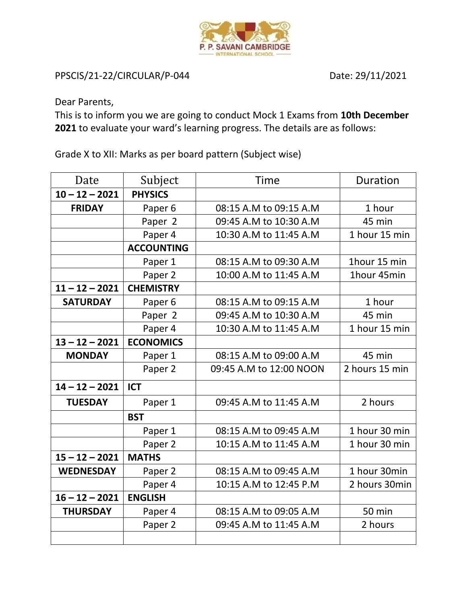

## PPSCIS/21-22/CIRCULAR/P-044 Date: 29/11/2021

Dear Parents,

This is to inform you we are going to conduct Mock 1 Exams from **10th December 2021** to evaluate your ward's learning progress. The details are as follows:

Grade X to XII: Marks as per board pattern (Subject wise)

| Date             | Subject            | Time                    | <b>Duration</b> |
|------------------|--------------------|-------------------------|-----------------|
| $10 - 12 - 2021$ | <b>PHYSICS</b>     |                         |                 |
| <b>FRIDAY</b>    | Paper <sub>6</sub> | 08:15 A.M to 09:15 A.M  | 1 hour          |
|                  | Paper 2            | 09:45 A.M to 10:30 A.M  | 45 min          |
|                  | Paper 4            | 10:30 A.M to 11:45 A.M  | 1 hour 15 min   |
|                  | <b>ACCOUNTING</b>  |                         |                 |
|                  | Paper 1            | 08:15 A.M to 09:30 A.M  | 1hour 15 min    |
|                  | Paper 2            | 10:00 A.M to 11:45 A.M  | 1hour 45min     |
| $11 - 12 - 2021$ | <b>CHEMISTRY</b>   |                         |                 |
| <b>SATURDAY</b>  | Paper <sub>6</sub> | 08:15 A.M to 09:15 A.M  | 1 hour          |
|                  | Paper 2            | 09:45 A.M to 10:30 A.M  | 45 min          |
|                  | Paper 4            | 10:30 A.M to 11:45 A.M  | 1 hour 15 min   |
| $13 - 12 - 2021$ | <b>ECONOMICS</b>   |                         |                 |
| <b>MONDAY</b>    | Paper 1            | 08:15 A.M to 09:00 A.M  | 45 min          |
|                  | Paper 2            | 09:45 A.M to 12:00 NOON | 2 hours 15 min  |
| $14 - 12 - 2021$ | <b>ICT</b>         |                         |                 |
| <b>TUESDAY</b>   | Paper 1            | 09:45 A.M to 11:45 A.M  | 2 hours         |
|                  | <b>BST</b>         |                         |                 |
|                  | Paper 1            | 08:15 A.M to 09:45 A.M  | 1 hour 30 min   |
|                  | Paper 2            | 10:15 A.M to 11:45 A.M  | 1 hour 30 min   |
| $15 - 12 - 2021$ | <b>MATHS</b>       |                         |                 |
| <b>WEDNESDAY</b> | Paper 2            | 08:15 A.M to 09:45 A.M  | 1 hour 30min    |
|                  | Paper 4            | 10:15 A.M to 12:45 P.M  | 2 hours 30min   |
| $16 - 12 - 2021$ | <b>ENGLISH</b>     |                         |                 |
| <b>THURSDAY</b>  | Paper 4            | 08:15 A.M to 09:05 A.M  | <b>50 min</b>   |
|                  | Paper 2            | 09:45 A.M to 11:45 A.M  | 2 hours         |
|                  |                    |                         |                 |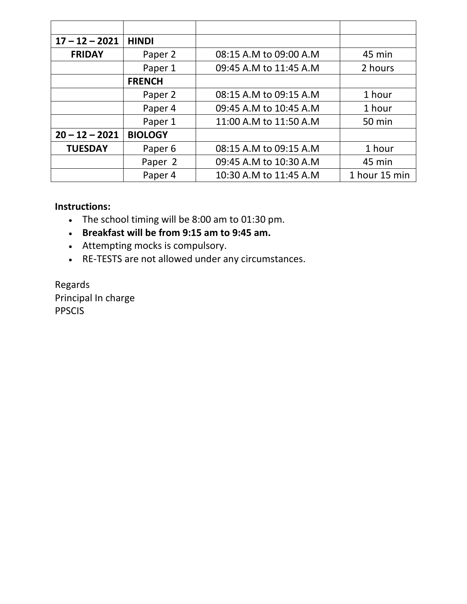| $17 - 12 - 2021$ | <b>HINDI</b>       |                        |               |
|------------------|--------------------|------------------------|---------------|
| <b>FRIDAY</b>    | Paper 2            | 08:15 A.M to 09:00 A.M | 45 min        |
|                  | Paper 1            | 09:45 A.M to 11:45 A.M | 2 hours       |
|                  | <b>FRENCH</b>      |                        |               |
|                  | Paper 2            | 08:15 A.M to 09:15 A.M | 1 hour        |
|                  | Paper 4            | 09:45 A.M to 10:45 A.M | 1 hour        |
|                  | Paper 1            | 11:00 A.M to 11:50 A.M | <b>50 min</b> |
| $20 - 12 - 2021$ | <b>BIOLOGY</b>     |                        |               |
| <b>TUESDAY</b>   | Paper <sub>6</sub> | 08:15 A.M to 09:15 A.M | 1 hour        |
|                  | Paper 2            | 09:45 A.M to 10:30 A.M | 45 min        |
|                  | Paper 4            | 10:30 A.M to 11:45 A.M | 1 hour 15 min |

## **Instructions:**

- The school timing will be 8:00 am to 01:30 pm.
- **Breakfast will be from 9:15 am to 9:45 am.**
- Attempting mocks is compulsory.
- RE-TESTS are not allowed under any circumstances.

Regards Principal In charge PPSCIS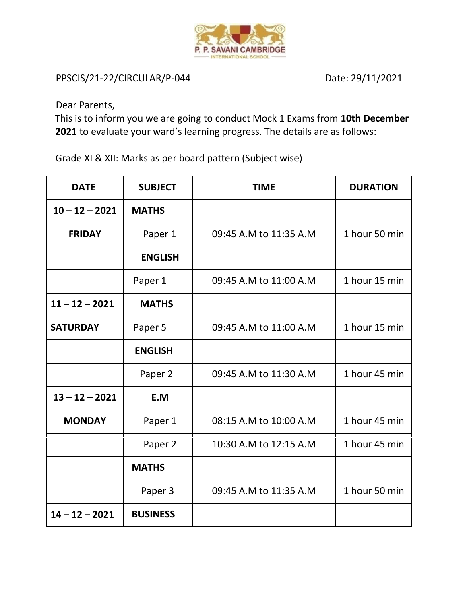

PPSCIS/21-22/CIRCULAR/P-044 Date: 29/11/2021

Dear Parents,

This is to inform you we are going to conduct Mock 1 Exams from **10th December 2021** to evaluate your ward's learning progress. The details are as follows:

Grade XI & XII: Marks as per board pattern (Subject wise)

| <b>DATE</b>      | <b>SUBJECT</b>  | <b>TIME</b>            | <b>DURATION</b> |
|------------------|-----------------|------------------------|-----------------|
| $10 - 12 - 2021$ | <b>MATHS</b>    |                        |                 |
| <b>FRIDAY</b>    | Paper 1         | 09:45 A.M to 11:35 A.M | 1 hour 50 min   |
|                  | <b>ENGLISH</b>  |                        |                 |
|                  | Paper 1         | 09:45 A.M to 11:00 A.M | 1 hour 15 min   |
| $11 - 12 - 2021$ | <b>MATHS</b>    |                        |                 |
| <b>SATURDAY</b>  | Paper 5         | 09:45 A.M to 11:00 A.M | 1 hour 15 min   |
|                  | <b>ENGLISH</b>  |                        |                 |
|                  | Paper 2         | 09:45 A.M to 11:30 A.M | 1 hour 45 min   |
| $13 - 12 - 2021$ | E.M             |                        |                 |
| <b>MONDAY</b>    | Paper 1         | 08:15 A.M to 10:00 A.M | 1 hour 45 min   |
|                  | Paper 2         | 10:30 A.M to 12:15 A.M | 1 hour 45 min   |
|                  | <b>MATHS</b>    |                        |                 |
|                  | Paper 3         | 09:45 A.M to 11:35 A.M | 1 hour 50 min   |
| $14 - 12 - 2021$ | <b>BUSINESS</b> |                        |                 |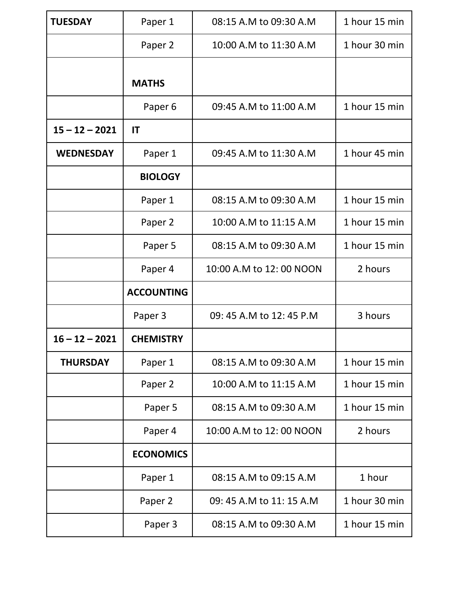| <b>TUESDAY</b>   | Paper 1            | 08:15 A.M to 09:30 A.M   | 1 hour 15 min |
|------------------|--------------------|--------------------------|---------------|
|                  | Paper 2            | 10:00 A.M to 11:30 A.M   | 1 hour 30 min |
|                  | <b>MATHS</b>       |                          |               |
|                  | Paper <sub>6</sub> | 09:45 A.M to 11:00 A.M   | 1 hour 15 min |
| $15 - 12 - 2021$ | IT                 |                          |               |
| <b>WEDNESDAY</b> | Paper 1            | 09:45 A.M to 11:30 A.M   | 1 hour 45 min |
|                  | <b>BIOLOGY</b>     |                          |               |
|                  | Paper 1            | 08:15 A.M to 09:30 A.M   | 1 hour 15 min |
|                  | Paper 2            | 10:00 A.M to 11:15 A.M   | 1 hour 15 min |
|                  | Paper 5            | 08:15 A.M to 09:30 A.M   | 1 hour 15 min |
|                  | Paper 4            | 10:00 A.M to 12:00 NOON  | 2 hours       |
|                  | <b>ACCOUNTING</b>  |                          |               |
|                  | Paper 3            | 09: 45 A.M to 12: 45 P.M | 3 hours       |
| $16 - 12 - 2021$ | <b>CHEMISTRY</b>   |                          |               |
| <b>THURSDAY</b>  | Paper 1            | 08:15 A.M to 09:30 A.M   | 1 hour 15 min |
|                  | Paper 2            | 10:00 A.M to 11:15 A.M   | 1 hour 15 min |
|                  | Paper 5            | 08:15 A.M to 09:30 A.M   | 1 hour 15 min |
|                  | Paper 4            | 10:00 A.M to 12:00 NOON  | 2 hours       |
|                  | <b>ECONOMICS</b>   |                          |               |
|                  | Paper 1            | 08:15 A.M to 09:15 A.M   | 1 hour        |
|                  | Paper 2            | 09: 45 A.M to 11: 15 A.M | 1 hour 30 min |
|                  | Paper 3            | 08:15 A.M to 09:30 A.M   | 1 hour 15 min |